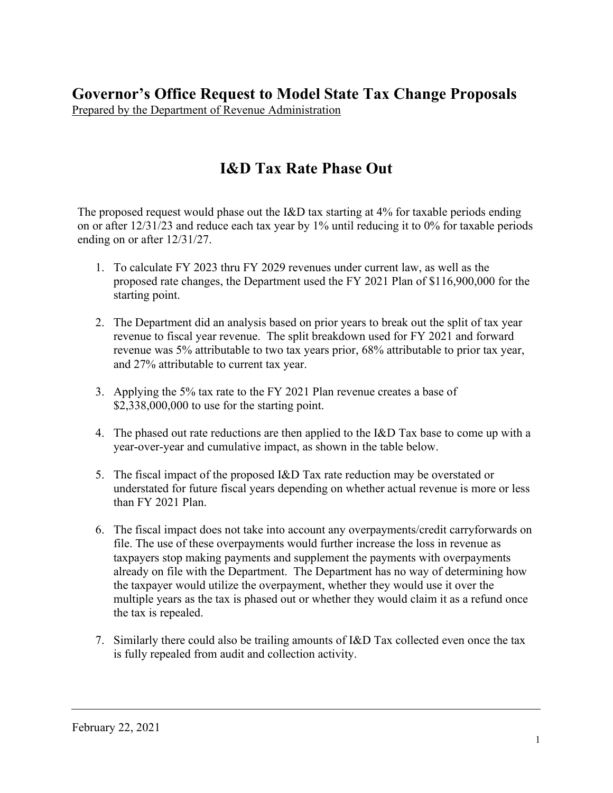**Governor's Office Request to Model State Tax Change Proposals** Prepared by the Department of Revenue Administration

# **I&D Tax Rate Phase Out**

The proposed request would phase out the I&D tax starting at 4% for taxable periods ending on or after 12/31/23 and reduce each tax year by 1% until reducing it to 0% for taxable periods ending on or after 12/31/27.

- 1. To calculate FY 2023 thru FY 2029 revenues under current law, as well as the proposed rate changes, the Department used the FY 2021 Plan of \$116,900,000 for the starting point.
- 2. The Department did an analysis based on prior years to break out the split of tax year revenue to fiscal year revenue. The split breakdown used for FY 2021 and forward revenue was 5% attributable to two tax years prior, 68% attributable to prior tax year, and 27% attributable to current tax year.
- 3. Applying the 5% tax rate to the FY 2021 Plan revenue creates a base of \$2,338,000,000 to use for the starting point.
- 4. The phased out rate reductions are then applied to the I&D Tax base to come up with a year-over-year and cumulative impact, as shown in the table below.
- 5. The fiscal impact of the proposed I&D Tax rate reduction may be overstated or understated for future fiscal years depending on whether actual revenue is more or less than FY 2021 Plan.
- 6. The fiscal impact does not take into account any overpayments/credit carryforwards on file. The use of these overpayments would further increase the loss in revenue as taxpayers stop making payments and supplement the payments with overpayments already on file with the Department. The Department has no way of determining how the taxpayer would utilize the overpayment, whether they would use it over the multiple years as the tax is phased out or whether they would claim it as a refund once the tax is repealed.
- 7. Similarly there could also be trailing amounts of I&D Tax collected even once the tax is fully repealed from audit and collection activity.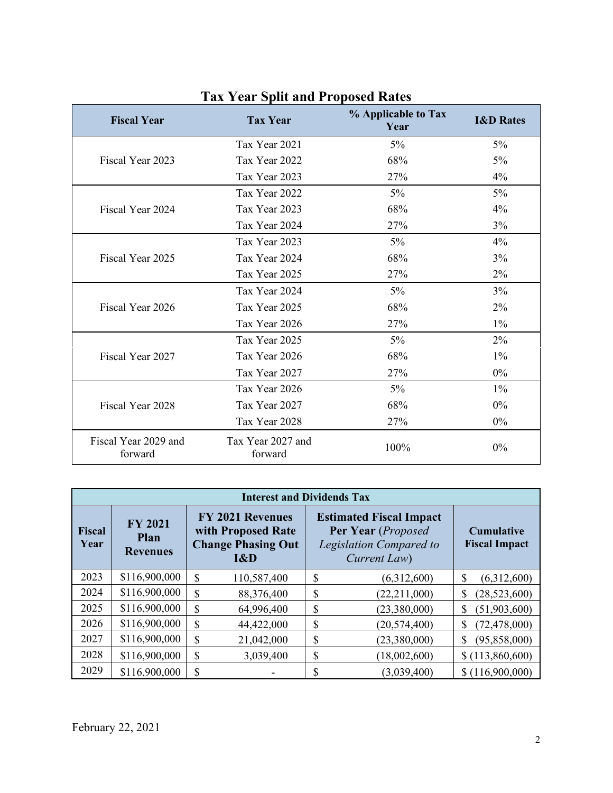| <b>Fiscal Year</b>              | <b>Tax Year</b>              | % Applicable to Tax<br>Year | <b>I&amp;D Rates</b> |
|---------------------------------|------------------------------|-----------------------------|----------------------|
|                                 | Tax Year 2021                | $5\%$                       | $5\%$                |
| Fiscal Year 2023                | Tax Year 2022                | 68%                         | $5\%$                |
|                                 | Tax Year 2023                | 27%                         | 4%                   |
|                                 | Tax Year 2022                | $5\%$                       | 5%                   |
| Fiscal Year 2024                | Tax Year 2023                | 68%                         | $4\%$                |
|                                 | Tax Year 2024                | 27%                         | 3%                   |
|                                 | Tax Year 2023                | $5\%$                       | 4%                   |
| Fiscal Year 2025                | Tax Year 2024                | 68%                         | 3%                   |
|                                 | Tax Year 2025                | 27%                         | $2\%$                |
|                                 | Tax Year 2024                | $5\%$                       | 3%                   |
| Fiscal Year 2026                | Tax Year 2025                | 68%                         | 2%                   |
|                                 | Tax Year 2026                | 27%                         | $1\%$                |
|                                 | Tax Year 2025                | $5\%$                       | $2\%$                |
| Fiscal Year 2027                | Tax Year 2026                | 68%                         | $1\%$                |
|                                 | Tax Year 2027                | 27%                         | $0\%$                |
|                                 | Tax Year 2026                | $5\%$                       | $1\%$                |
| Fiscal Year 2028                | Tax Year 2027                | 68%                         | $0\%$                |
|                                 | Tax Year 2028                | 27%                         | $0\%$                |
| Fiscal Year 2029 and<br>forward | Tax Year 2027 and<br>forward | 100%                        | $0\%$                |

### **Tax Year Split and Proposed Rates**

| <b>Interest and Dividends Tax</b> |                                           |                                                                                   |                                                                                                 |                                           |  |  |
|-----------------------------------|-------------------------------------------|-----------------------------------------------------------------------------------|-------------------------------------------------------------------------------------------------|-------------------------------------------|--|--|
| <b>Fiscal</b><br>Year             | <b>FY 2021</b><br>Plan<br><b>Revenues</b> | <b>FY 2021 Revenues</b><br>with Proposed Rate<br><b>Change Phasing Out</b><br>I&D | <b>Estimated Fiscal Impact</b><br>Per Year (Proposed<br>Legislation Compared to<br>Current Law) | <b>Cumulative</b><br><b>Fiscal Impact</b> |  |  |
| 2023                              | \$116,900,000                             | \$<br>110,587,400                                                                 | \$<br>(6,312,600)                                                                               | \$<br>(6,312,600)                         |  |  |
| 2024                              | \$116,900,000                             | \$<br>88,376,400                                                                  | \$<br>(22, 211, 000)                                                                            | (28, 523, 600)<br>\$                      |  |  |
| 2025                              | \$116,900,000                             | \$<br>64,996,400                                                                  | \$<br>(23,380,000)                                                                              | (51,903,600)<br>\$                        |  |  |
| 2026                              | \$116,900,000                             | \$<br>44,422,000                                                                  | \$<br>(20, 574, 400)                                                                            | (72, 478, 000)<br>\$                      |  |  |
| 2027                              | \$116,900,000                             | \$<br>21,042,000                                                                  | \$<br>(23,380,000)                                                                              | \$<br>(95, 858, 000)                      |  |  |
| 2028                              | \$116,900,000                             | \$<br>3,039,400                                                                   | \$<br>(18,002,600)                                                                              | \$(113,860,600)                           |  |  |
| 2029                              | \$116,900,000                             | \$                                                                                | Φ<br>(3,039,400)<br>J.                                                                          | \$(116,900,000)                           |  |  |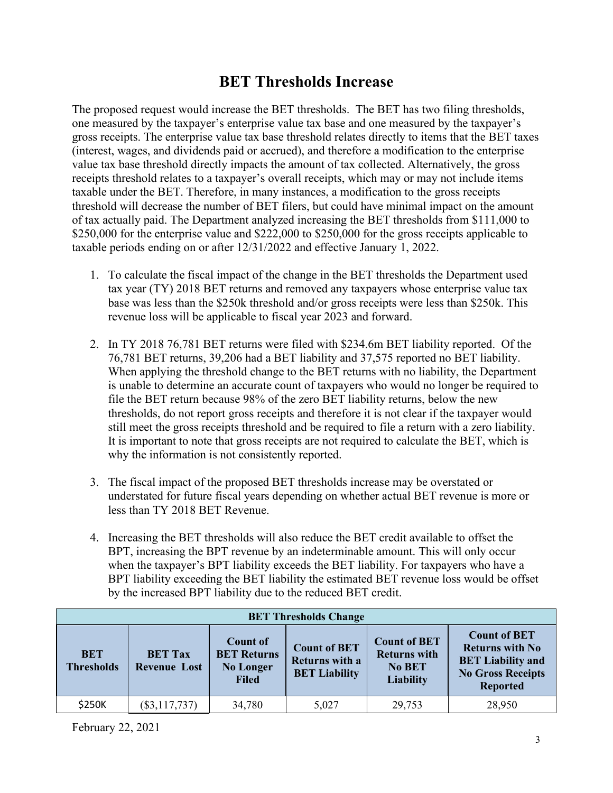### **BET Thresholds Increase**

The proposed request would increase the BET thresholds. The BET has two filing thresholds, one measured by the taxpayer's enterprise value tax base and one measured by the taxpayer's gross receipts. The enterprise value tax base threshold relates directly to items that the BET taxes (interest, wages, and dividends paid or accrued), and therefore a modification to the enterprise value tax base threshold directly impacts the amount of tax collected. Alternatively, the gross receipts threshold relates to a taxpayer's overall receipts, which may or may not include items taxable under the BET. Therefore, in many instances, a modification to the gross receipts threshold will decrease the number of BET filers, but could have minimal impact on the amount of tax actually paid. The Department analyzed increasing the BET thresholds from \$111,000 to \$250,000 for the enterprise value and \$222,000 to \$250,000 for the gross receipts applicable to taxable periods ending on or after 12/31/2022 and effective January 1, 2022.

- 1. To calculate the fiscal impact of the change in the BET thresholds the Department used tax year (TY) 2018 BET returns and removed any taxpayers whose enterprise value tax base was less than the \$250k threshold and/or gross receipts were less than \$250k. This revenue loss will be applicable to fiscal year 2023 and forward.
- 2. In TY 2018 76,781 BET returns were filed with \$234.6m BET liability reported. Of the 76,781 BET returns, 39,206 had a BET liability and 37,575 reported no BET liability. When applying the threshold change to the BET returns with no liability, the Department is unable to determine an accurate count of taxpayers who would no longer be required to file the BET return because 98% of the zero BET liability returns, below the new thresholds, do not report gross receipts and therefore it is not clear if the taxpayer would still meet the gross receipts threshold and be required to file a return with a zero liability. It is important to note that gross receipts are not required to calculate the BET, which is why the information is not consistently reported.
- 3. The fiscal impact of the proposed BET thresholds increase may be overstated or understated for future fiscal years depending on whether actual BET revenue is more or less than TY 2018 BET Revenue.
- 4. Increasing the BET thresholds will also reduce the BET credit available to offset the BPT, increasing the BPT revenue by an indeterminable amount. This will only occur when the taxpayer's BPT liability exceeds the BET liability. For taxpayers who have a BPT liability exceeding the BET liability the estimated BET revenue loss would be offset by the increased BPT liability due to the reduced BET credit.

| <b>BET Thresholds Change</b>    |                                       |                                                                           |                                                               |                                                                                 |                                                                                                                          |
|---------------------------------|---------------------------------------|---------------------------------------------------------------------------|---------------------------------------------------------------|---------------------------------------------------------------------------------|--------------------------------------------------------------------------------------------------------------------------|
| <b>BET</b><br><b>Thresholds</b> | <b>BET Tax</b><br><b>Revenue Lost</b> | <b>Count of</b><br><b>BET Returns</b><br><b>No Longer</b><br><b>Filed</b> | <b>Count of BET</b><br>Returns with a<br><b>BET Liability</b> | <b>Count of BET</b><br><b>Returns with</b><br><b>No BET</b><br><b>Liability</b> | <b>Count of BET</b><br><b>Returns with No</b><br><b>BET Liability and</b><br><b>No Gross Receipts</b><br><b>Reported</b> |
| \$250K                          | $(\$3,117,737)$                       | 34,780                                                                    | 5,027                                                         | 29,753                                                                          | 28,950                                                                                                                   |

February 22, 2021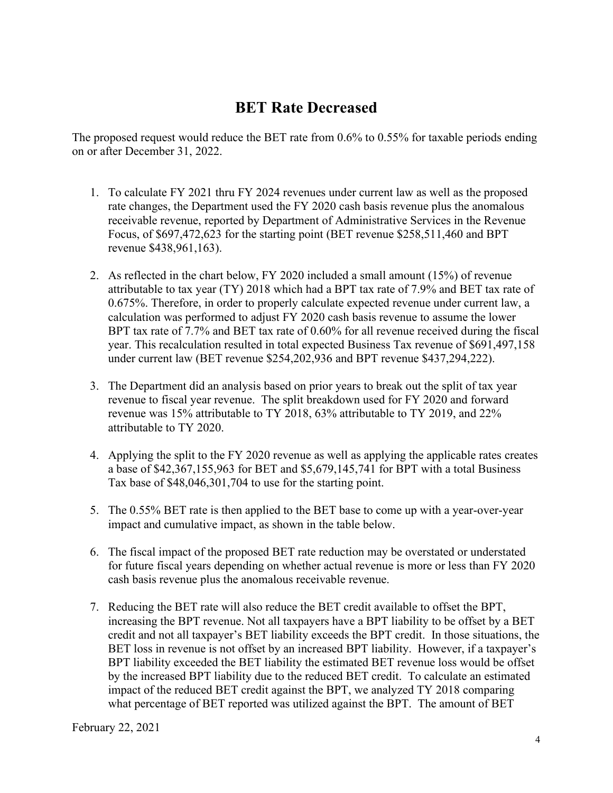### **BET Rate Decreased**

The proposed request would reduce the BET rate from 0.6% to 0.55% for taxable periods ending on or after December 31, 2022.

- 1. To calculate FY 2021 thru FY 2024 revenues under current law as well as the proposed rate changes, the Department used the FY 2020 cash basis revenue plus the anomalous receivable revenue, reported by Department of Administrative Services in the Revenue Focus, of \$697,472,623 for the starting point (BET revenue \$258,511,460 and BPT revenue \$438,961,163).
- 2. As reflected in the chart below, FY 2020 included a small amount (15%) of revenue attributable to tax year (TY) 2018 which had a BPT tax rate of 7.9% and BET tax rate of 0.675%. Therefore, in order to properly calculate expected revenue under current law, a calculation was performed to adjust FY 2020 cash basis revenue to assume the lower BPT tax rate of 7.7% and BET tax rate of 0.60% for all revenue received during the fiscal year. This recalculation resulted in total expected Business Tax revenue of \$691,497,158 under current law (BET revenue \$254,202,936 and BPT revenue \$437,294,222).
- 3. The Department did an analysis based on prior years to break out the split of tax year revenue to fiscal year revenue. The split breakdown used for FY 2020 and forward revenue was 15% attributable to TY 2018, 63% attributable to TY 2019, and 22% attributable to TY 2020.
- 4. Applying the split to the FY 2020 revenue as well as applying the applicable rates creates a base of \$42,367,155,963 for BET and \$5,679,145,741 for BPT with a total Business Tax base of \$48,046,301,704 to use for the starting point.
- 5. The 0.55% BET rate is then applied to the BET base to come up with a year-over-year impact and cumulative impact, as shown in the table below.
- 6. The fiscal impact of the proposed BET rate reduction may be overstated or understated for future fiscal years depending on whether actual revenue is more or less than FY 2020 cash basis revenue plus the anomalous receivable revenue.
- 7. Reducing the BET rate will also reduce the BET credit available to offset the BPT, increasing the BPT revenue. Not all taxpayers have a BPT liability to be offset by a BET credit and not all taxpayer's BET liability exceeds the BPT credit. In those situations, the BET loss in revenue is not offset by an increased BPT liability. However, if a taxpayer's BPT liability exceeded the BET liability the estimated BET revenue loss would be offset by the increased BPT liability due to the reduced BET credit. To calculate an estimated impact of the reduced BET credit against the BPT, we analyzed TY 2018 comparing what percentage of BET reported was utilized against the BPT. The amount of BET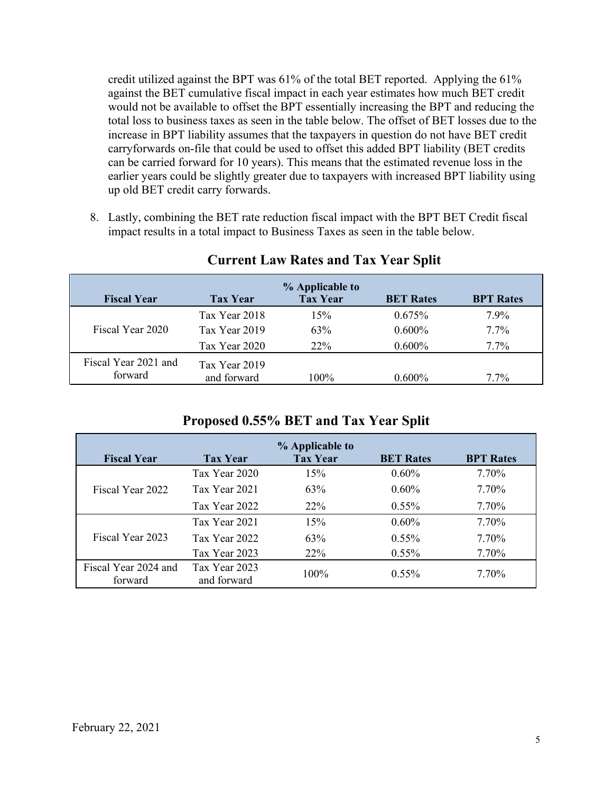credit utilized against the BPT was 61% of the total BET reported. Applying the 61% against the BET cumulative fiscal impact in each year estimates how much BET credit would not be available to offset the BPT essentially increasing the BPT and reducing the total loss to business taxes as seen in the table below. The offset of BET losses due to the increase in BPT liability assumes that the taxpayers in question do not have BET credit carryforwards on-file that could be used to offset this added BPT liability (BET credits can be carried forward for 10 years). This means that the estimated revenue loss in the earlier years could be slightly greater due to taxpayers with increased BPT liability using up old BET credit carry forwards.

8. Lastly, combining the BET rate reduction fiscal impact with the BPT BET Credit fiscal impact results in a total impact to Business Taxes as seen in the table below.

|                      |                 | % Applicable to |                  |                  |
|----------------------|-----------------|-----------------|------------------|------------------|
| <b>Fiscal Year</b>   | <b>Tax Year</b> | <b>Tax Year</b> | <b>BET Rates</b> | <b>BPT Rates</b> |
|                      | Tax Year 2018   | 15%             | 0.675%           | 7.9%             |
| Fiscal Year 2020     | Tax Year 2019   | 63%             | $0.600\%$        | $7.7\%$          |
|                      | Tax Year 2020   | 22\%            | $0.600\%$        | $7.7\%$          |
| Fiscal Year 2021 and | Tax Year 2019   |                 |                  |                  |
| forward              | and forward     | 100%            | $0.600\%$        | $7.7\%$          |

#### **Current Law Rates and Tax Year Split**

#### **Proposed 0.55% BET and Tax Year Split**

| <b>Fiscal Year</b>              | <b>Tax Year</b>              | % Applicable to<br><b>Tax Year</b> | <b>BET Rates</b> | <b>BPT Rates</b> |
|---------------------------------|------------------------------|------------------------------------|------------------|------------------|
|                                 | Tax Year 2020                | 15%                                | $0.60\%$         | 7.70%            |
| Fiscal Year 2022                | Tax Year 2021                | 63%                                | $0.60\%$         | 7.70%            |
|                                 | Tax Year 2022                | $22\%$                             | $0.55\%$         | 7.70%            |
|                                 | Tax Year 2021                | 15%                                | $0.60\%$         | 7.70%            |
| Fiscal Year 2023                | Tax Year 2022                | 63%                                | $0.55\%$         | 7.70%            |
|                                 | Tax Year 2023                | 22%                                | $0.55\%$         | 7.70%            |
| Fiscal Year 2024 and<br>forward | Tax Year 2023<br>and forward | $100\%$                            | $0.55\%$         | 7.70%            |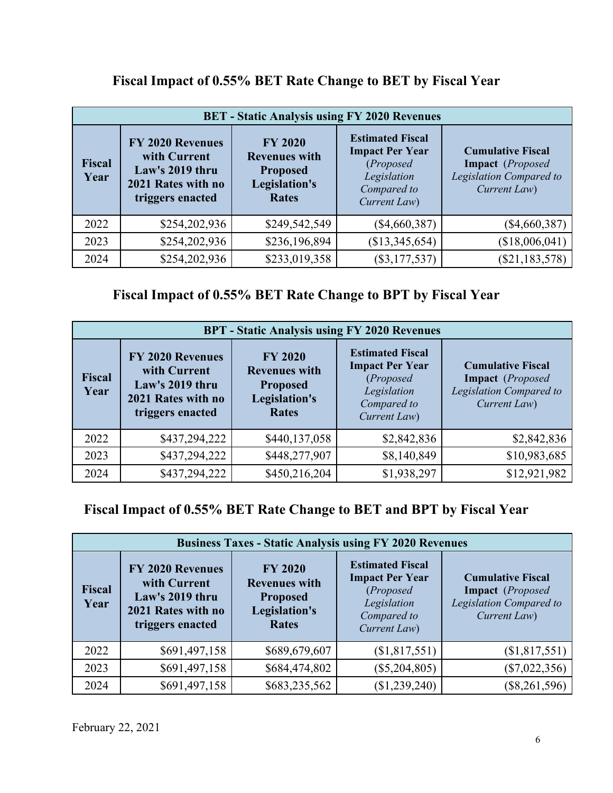| <b>BET</b> - Static Analysis using FY 2020 Revenues |                                                                                               |                                                                                            |                                                                                                              |                                                                                         |  |  |
|-----------------------------------------------------|-----------------------------------------------------------------------------------------------|--------------------------------------------------------------------------------------------|--------------------------------------------------------------------------------------------------------------|-----------------------------------------------------------------------------------------|--|--|
| <b>Fiscal</b><br>Year                               | FY 2020 Revenues<br>with Current<br>Law's 2019 thru<br>2021 Rates with no<br>triggers enacted | <b>FY 2020</b><br><b>Revenues with</b><br><b>Proposed</b><br>Legislation's<br><b>Rates</b> | <b>Estimated Fiscal</b><br><b>Impact Per Year</b><br>(Proposed<br>Legislation<br>Compared to<br>Current Law) | <b>Cumulative Fiscal</b><br>Impact (Proposed<br>Legislation Compared to<br>Current Law) |  |  |
| 2022                                                | \$254,202,936                                                                                 | \$249,542,549                                                                              | $(\$4,660,387)$                                                                                              | $(\$4,660,387)$                                                                         |  |  |
| 2023                                                | \$254,202,936                                                                                 | \$236,196,894                                                                              | (\$13,345,654)                                                                                               | (\$18,006,041)                                                                          |  |  |
| 2024                                                | \$254,202,936                                                                                 | \$233,019,358                                                                              | $(\$3,177,537)$                                                                                              | (\$21,183,578)                                                                          |  |  |

## **Fiscal Impact of 0.55% BET Rate Change to BET by Fiscal Year**

**Fiscal Impact of 0.55% BET Rate Change to BPT by Fiscal Year** 

| <b>BPT</b> - Static Analysis using FY 2020 Revenues |                                                                                               |                                                                                            |                                                                                                              |                                                                                                          |  |  |
|-----------------------------------------------------|-----------------------------------------------------------------------------------------------|--------------------------------------------------------------------------------------------|--------------------------------------------------------------------------------------------------------------|----------------------------------------------------------------------------------------------------------|--|--|
| <b>Fiscal</b><br>Year                               | FY 2020 Revenues<br>with Current<br>Law's 2019 thru<br>2021 Rates with no<br>triggers enacted | <b>FY 2020</b><br><b>Revenues with</b><br><b>Proposed</b><br>Legislation's<br><b>Rates</b> | <b>Estimated Fiscal</b><br><b>Impact Per Year</b><br>(Proposed<br>Legislation<br>Compared to<br>Current Law) | <b>Cumulative Fiscal</b><br><b>Impact</b> ( <i>Proposed</i> )<br>Legislation Compared to<br>Current Law) |  |  |
| 2022                                                | \$437,294,222                                                                                 | \$440,137,058                                                                              | \$2,842,836                                                                                                  | \$2,842,836                                                                                              |  |  |
| 2023                                                | \$437,294,222                                                                                 | \$448,277,907                                                                              | \$8,140,849                                                                                                  | \$10,983,685                                                                                             |  |  |
| 2024                                                | \$437,294,222                                                                                 | \$450,216,204                                                                              | \$1,938,297                                                                                                  | \$12,921,982                                                                                             |  |  |

## **Fiscal Impact of 0.55% BET Rate Change to BET and BPT by Fiscal Year**

| <b>Business Taxes - Static Analysis using FY 2020 Revenues</b> |                                                                                                      |                                                                                            |                                                                                                              |                                                                                         |  |
|----------------------------------------------------------------|------------------------------------------------------------------------------------------------------|--------------------------------------------------------------------------------------------|--------------------------------------------------------------------------------------------------------------|-----------------------------------------------------------------------------------------|--|
| <b>Fiscal</b><br>Year                                          | <b>FY 2020 Revenues</b><br>with Current<br>Law's 2019 thru<br>2021 Rates with no<br>triggers enacted | <b>FY 2020</b><br><b>Revenues with</b><br><b>Proposed</b><br>Legislation's<br><b>Rates</b> | <b>Estimated Fiscal</b><br><b>Impact Per Year</b><br>(Proposed<br>Legislation<br>Compared to<br>Current Law) | <b>Cumulative Fiscal</b><br>Impact (Proposed<br>Legislation Compared to<br>Current Law) |  |
| 2022                                                           | \$691,497,158                                                                                        | \$689,679,607                                                                              | (\$1,817,551)                                                                                                | (\$1,817,551)                                                                           |  |
| 2023                                                           | \$691,497,158                                                                                        | \$684,474,802                                                                              | $(\$5,204,805)$                                                                                              | $(\$7,022,356)$                                                                         |  |
| 2024                                                           | \$691,497,158                                                                                        | \$683,235,562                                                                              | (\$1,239,240)                                                                                                | $(\$8,261,596)$                                                                         |  |